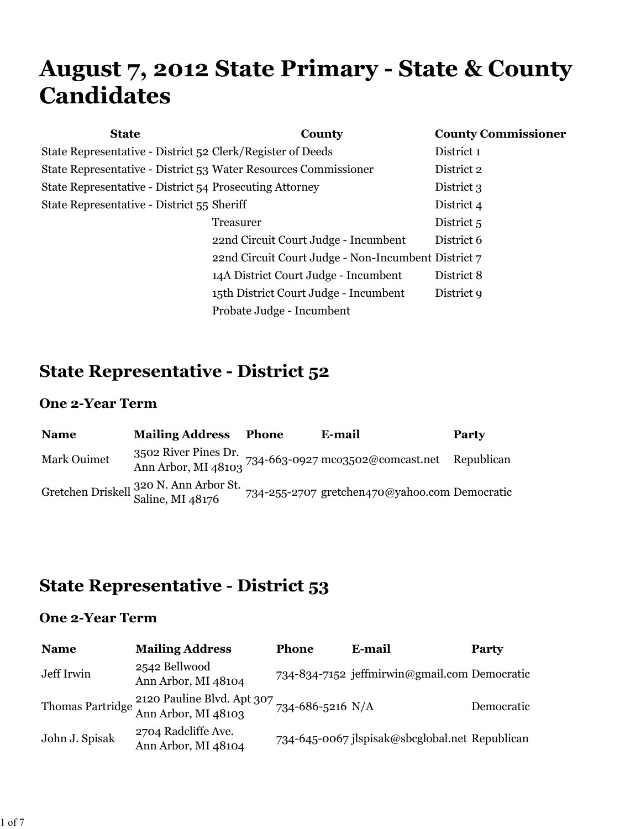# **August 7, 2012 State Primary - State & County Candidates**

| <b>State</b>                                                    | County                                              | <b>County Commissioner</b> |
|-----------------------------------------------------------------|-----------------------------------------------------|----------------------------|
| State Representative - District 52 Clerk/Register of Deeds      |                                                     | District 1                 |
| State Representative - District 53 Water Resources Commissioner |                                                     | District 2                 |
| State Representative - District 54 Prosecuting Attorney         |                                                     | District 3                 |
| State Representative - District 55 Sheriff                      |                                                     | District 4                 |
|                                                                 | Treasurer                                           | District 5                 |
|                                                                 | 22nd Circuit Court Judge - Incumbent                | District 6                 |
|                                                                 | 22nd Circuit Court Judge - Non-Incumbent District 7 |                            |
|                                                                 | 14A District Court Judge - Incumbent                | District 8                 |
|                                                                 | 15th District Court Judge - Incumbent               | District 9                 |
|                                                                 | Probate Judge - Incumbent                           |                            |

### **State Representative - District 52**

#### **One 2-Year Term**

| <b>Name</b> | <b>Mailing Address</b>                                                | Phone | E-mail                                                                                                                                  | Party |
|-------------|-----------------------------------------------------------------------|-------|-----------------------------------------------------------------------------------------------------------------------------------------|-------|
| Mark Ouimet |                                                                       |       | 3502 River Pines Dr. $734-663-0927$ mco3502@comcast.net Republican<br>Ann Arbor, MI 48103 $734-663-0927$ mco3502@comcast.net Republican |       |
|             | Gretchen Driskell <sup>320</sup> N. Ann Arbor St.<br>Saline, MI 48176 |       | 734-255-2707 gretchen470@yahoo.com Democratic                                                                                           |       |

# **State Representative - District 53**

| <b>Name</b>    | <b>Mailing Address</b>                                                     | <b>Phone</b> | E-mail                                         | Party      |
|----------------|----------------------------------------------------------------------------|--------------|------------------------------------------------|------------|
| Jeff Irwin     | 2542 Bellwood<br>Ann Arbor, MI 48104                                       |              | 734-834-7152 jeffmirwin@gmail.com Democratic   |            |
|                | Thomas Partridge $\frac{2120}{210}$ Pauline Blvd. Apt 307 734-686-5216 N/A |              |                                                | Democratic |
| John J. Spisak | 2704 Radcliffe Ave.<br>Ann Arbor, MI 48104                                 |              | 734-645-0067 jlspisak@sbcglobal.net Republican |            |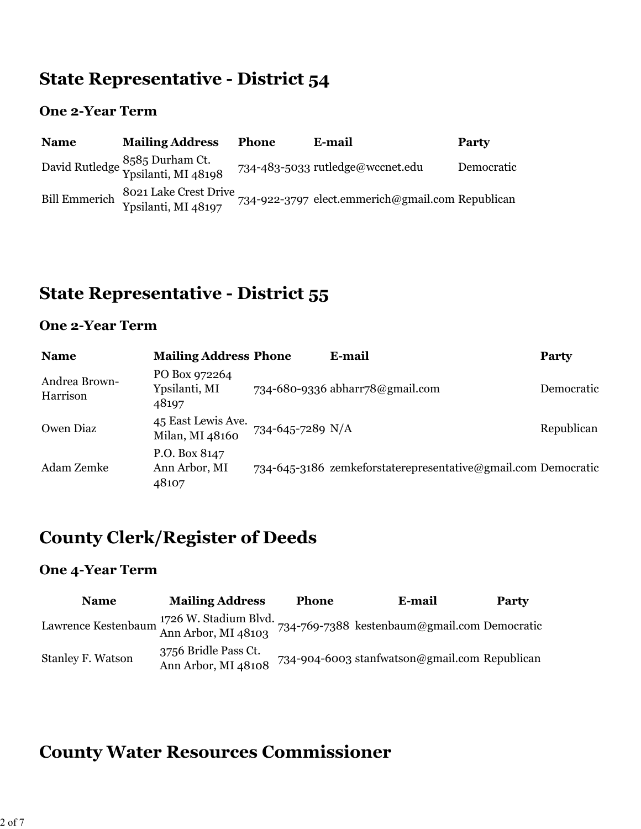### **State Representative - District 54**

#### **One 2-Year Term**

| <b>Name</b>          | <b>Mailing Address</b>                                | <b>Phone</b> | E-mail                                           | Party      |
|----------------------|-------------------------------------------------------|--------------|--------------------------------------------------|------------|
|                      | David Rutledge 8585 Durham Ct.<br>Ypsilanti, MI 48198 |              | 734-483-5033 rutledge@wccnet.edu                 | Democratic |
| <b>Bill Emmerich</b> | 8021 Lake Crest Drive<br>Ypsilanti, MI 48197          |              | 734-922-3797 elect.emmerich@gmail.com Republican |            |

### **State Representative - District 55**

#### **One 2-Year Term**

| <b>Name</b>               | <b>Mailing Address Phone</b>            |                  | E-mail                                                        | <b>Party</b> |
|---------------------------|-----------------------------------------|------------------|---------------------------------------------------------------|--------------|
| Andrea Brown-<br>Harrison | PO Box 972264<br>Ypsilanti, MI<br>48197 |                  | 734-680-9336 abharr78@gmail.com                               | Democratic   |
| Owen Diaz                 | 45 East Lewis Ave.<br>Milan, MI 48160   | 734-645-7289 N/A |                                                               | Republican   |
| Adam Zemke                | P.O. Box 8147<br>Ann Arbor, MI<br>48107 |                  | 734-645-3186 zemkeforstaterepresentative@gmail.com Democratic |              |

### **County Clerk/Register of Deeds**

#### **One 4-Year Term**

| <b>Name</b>                                                              | <b>Mailing Address</b>                      | <b>Phone</b> | E-mail                                        | Party |
|--------------------------------------------------------------------------|---------------------------------------------|--------------|-----------------------------------------------|-------|
| Lawrence Kestenbaum $\frac{1726 \text{ W}}{\text{Ann Arbor}}$ , MI 48103 |                                             |              | 734-769-7388 kestenbaum@gmail.com Democratic  |       |
| <b>Stanley F. Watson</b>                                                 | 3756 Bridle Pass Ct.<br>Ann Arbor, MI 48108 |              | 734-904-6003 stanfwatson@gmail.com Republican |       |

# **County Water Resources Commissioner**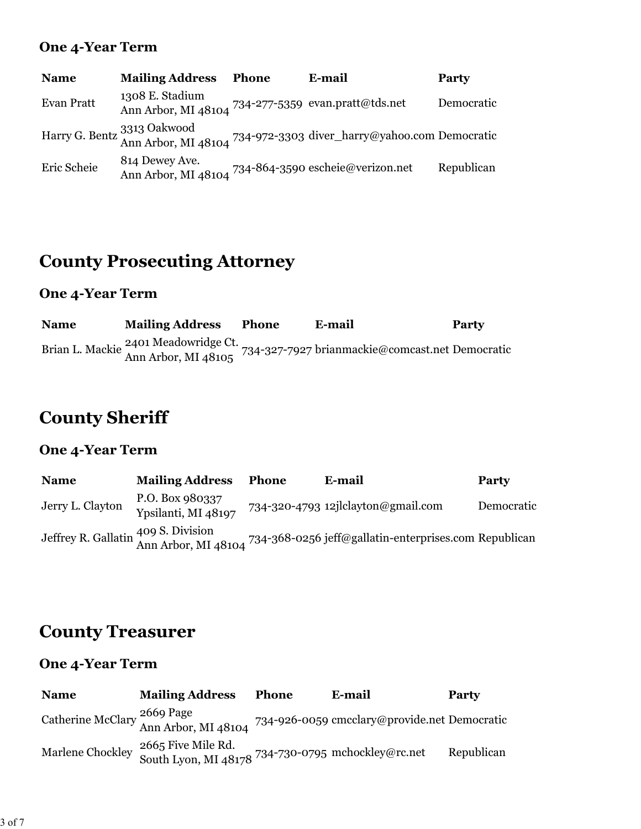#### **One 4-Year Term**

| <b>Name</b> | <b>Mailing Address</b>                                                 | <b>Phone</b> | E-mail                                                                                           | <b>Party</b> |
|-------------|------------------------------------------------------------------------|--------------|--------------------------------------------------------------------------------------------------|--------------|
| Evan Pratt  | 1308 E. Stadium<br>Ann Arbor, MI 48104 734-277-5359 evan.pratt@tds.net |              |                                                                                                  | Democratic   |
|             |                                                                        |              | Harry G. Bentz 3313 Oakwood<br>Ann Arbor, MI 48104 734-972-3303 diver_harry@yahoo.com Democratic |              |
| Eric Scheie | 814 Dewey Ave.                                                         |              | Ann Arbor, MI 48104 734-864-3590 escheie@verizon.net                                             | Republican   |

### **County Prosecuting Attorney**

#### **One 4-Year Term**

**Name Mailing Address Phone E-mail Party** Brian L. Mackie 2401 Meadowridge Ct.<br>Ann Arbor, MI 48105 734-327-7927 brianmackie@comcast.net Democratic

### **County Sheriff**

#### **One 4-Year Term**

**Name Mailing Address Phone E-mail Party** Jerry L. Clayton P.O. Box 980337 734-320-4793 12jlclayton@gmail.com Democratic Jeffrey R. Gallatin 409 S. Division Ann Arbor, MI 48104 734-368-0256 jeff@gallatin-enterprises.com Republican

### **County Treasurer**

| <b>Name</b> | <b>Mailing Address</b>                                                                    | Phone | E-mail                                                                                                     | <b>Party</b> |
|-------------|-------------------------------------------------------------------------------------------|-------|------------------------------------------------------------------------------------------------------------|--------------|
|             |                                                                                           |       | Catherine McClary <sup>2669</sup> Page<br>Ann Arbor, MI 48104 734-926-0059 cmcclary@provide.net Democratic |              |
|             | Marlene Chockley 2665 Five Mile Rd.<br>South Lyon, MI 48178 734-730-0795 mchockley@rc.net |       |                                                                                                            | Republican   |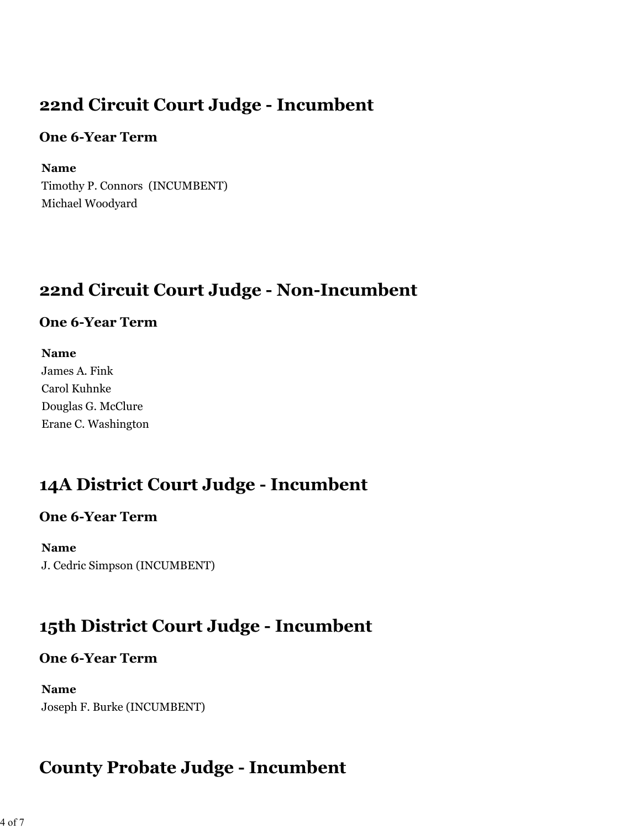### **22nd Circuit Court Judge - Incumbent**

#### **One 6-Year Term**

**Name** Timothy P. Connors (INCUMBENT) Michael Woodyard

# **22nd Circuit Court Judge - Non-Incumbent**

#### **One 6-Year Term**

**Name** James A. Fink Carol Kuhnke Douglas G. McClure Erane C. Washington

# **14A District Court Judge - Incumbent**

### **One 6-Year Term**

**Name** J. Cedric Simpson (INCUMBENT)

# **15th District Court Judge - Incumbent**

### **One 6-Year Term**

**Name** Joseph F. Burke (INCUMBENT)

# **County Probate Judge - Incumbent**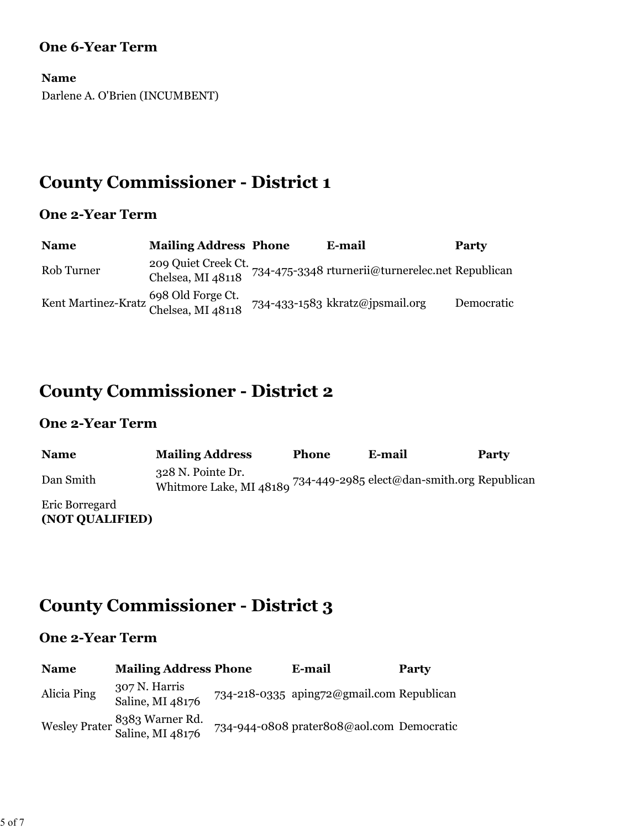#### **One 6-Year Term**

**Name** Darlene A. O'Brien (INCUMBENT)

### **County Commissioner - District 1**

#### **One 2-Year Term**

| <b>Name</b>                                                | <b>Mailing Address Phone</b> | E-mail                                                               | <b>Party</b> |
|------------------------------------------------------------|------------------------------|----------------------------------------------------------------------|--------------|
| Rob Turner                                                 |                              | 209 Quiet Creek Ct. 734-475-3348 rturnerii@turnerelec.net Republican |              |
| Kent Martinez-Kratz 698 Old Forge Ct.<br>Chelsea, MI 48118 |                              | 734-433-1583 kkratz@jpsmail.org                                      | Democratic   |

# **County Commissioner - District 2**

#### **One 2-Year Term**

| <b>Name</b>                       | <b>Mailing Address</b>                                                                   | <b>Phone</b> | E-mail | Party |
|-----------------------------------|------------------------------------------------------------------------------------------|--------------|--------|-------|
| Dan Smith                         | 328 N. Pointe Dr.<br>Whitmore Lake, MI 48189 734-449-2985 elect@dan-smith.org Republican |              |        |       |
| Eric Borregard<br>(NOT QUALIFIED) |                                                                                          |              |        |       |

# **County Commissioner - District 3**

| <b>Name</b> | <b>Mailing Address Phone</b>                      | E-mail                                    | <b>Party</b> |
|-------------|---------------------------------------------------|-------------------------------------------|--------------|
| Alicia Ping | 307 N. Harris<br>Saline, MI 48176                 | 734-218-0335 aping72@gmail.com Republican |              |
|             | Wesley Prater 8383 Warner Rd.<br>Saline, MI 48176 | 734-944-0808 prater808@aol.com Democratic |              |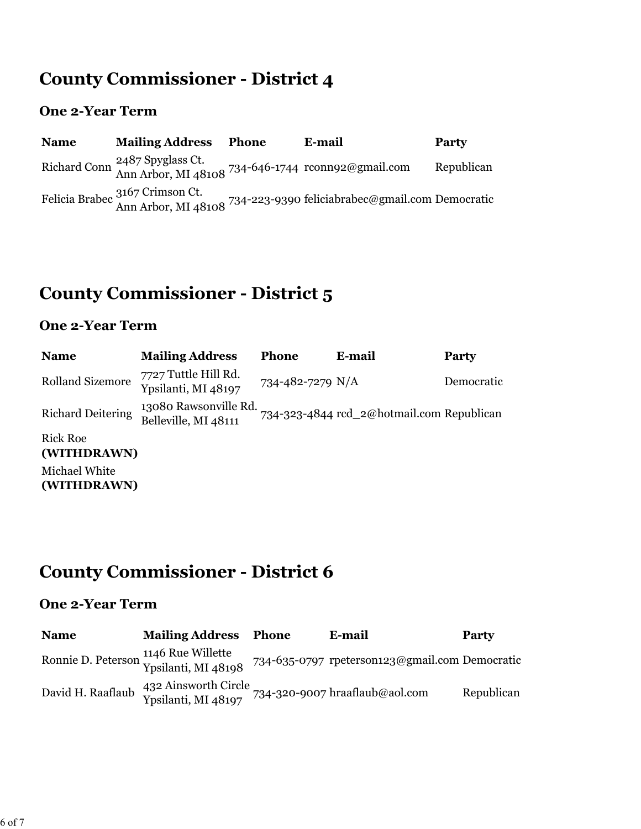### **County Commissioner - District 4**

#### **One 2-Year Term**

| <b>Name</b> | <b>Mailing Address</b>                                                                                        | <b>Phone</b> | E-mail                                                                                                 | Party      |
|-------------|---------------------------------------------------------------------------------------------------------------|--------------|--------------------------------------------------------------------------------------------------------|------------|
|             | Richard Conn <sup>2487</sup> Spyglass Ct.<br>Ann Arbor, MI 48108 <sup>734-646-1744</sup> reconnected mail.com |              |                                                                                                        | Republican |
|             |                                                                                                               |              | Felicia Brabec 3167 Crimson Ct.<br>Ann Arbor, MI 48108 734-223-9390 feliciabrabec@gmail.com Democratic |            |

# **County Commissioner - District 5**

#### **One 2-Year Term**

| <b>Name</b>                    | <b>Mailing Address</b>                        | <b>Phone</b>     | E-mail                                    | <b>Party</b> |
|--------------------------------|-----------------------------------------------|------------------|-------------------------------------------|--------------|
| <b>Rolland Sizemore</b>        | 7727 Tuttle Hill Rd.<br>Ypsilanti, MI 48197   | 734-482-7279 N/A |                                           | Democratic   |
| <b>Richard Deitering</b>       | 13080 Rawsonville Rd.<br>Belleville, MI 48111 |                  | 734-323-4844 rcd_2@hotmail.com Republican |              |
| <b>Rick Roe</b><br>(WITHDRAWN) |                                               |                  |                                           |              |

Michael White **(WITHDRAWN)**

# **County Commissioner - District 6**

| <b>Name</b>       | <b>Mailing Address Phone</b>                                               | E-mail                                         | Party      |
|-------------------|----------------------------------------------------------------------------|------------------------------------------------|------------|
|                   | Ronnie D. Peterson 1146 Rue Willette<br>Ypsilanti, MI 48198                | 734-635-0797 rpeterson123@gmail.com Democratic |            |
| David H. Raaflaub | 432 Ainsworth Circle<br>Ypsilanti, MI 48197 734-320-9007 hraaflaub@aol.com |                                                | Republican |